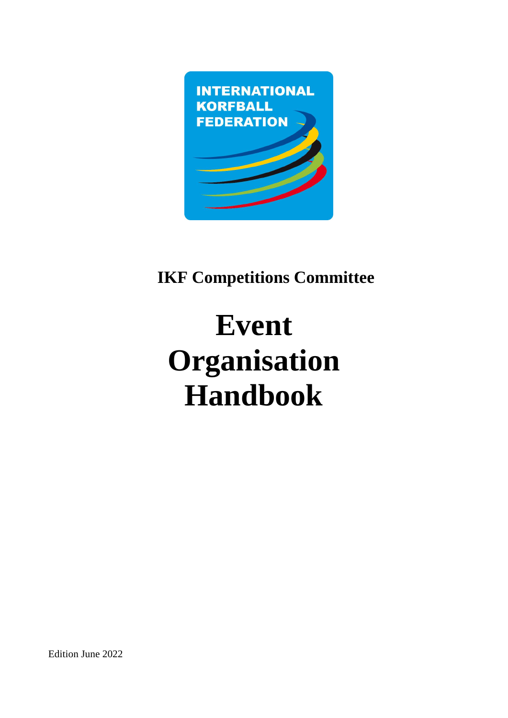

# **IKF Competitions Committee**

# **Event Organisation Handbook**

Edition June 2022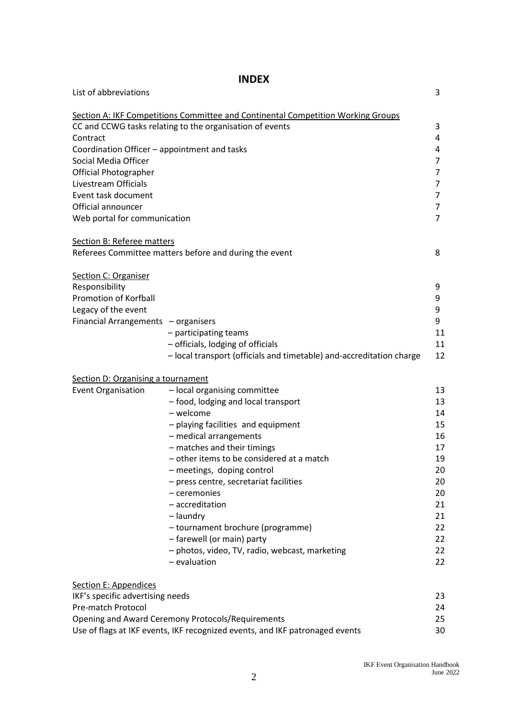# **INDEX**

| List of abbreviations                        |                                                                                  | 3              |
|----------------------------------------------|----------------------------------------------------------------------------------|----------------|
|                                              | Section A: IKF Competitions Committee and Continental Competition Working Groups |                |
|                                              | CC and CCWG tasks relating to the organisation of events                         | 3              |
| Contract                                     |                                                                                  | 4              |
| Coordination Officer - appointment and tasks |                                                                                  | 4              |
| Social Media Officer                         |                                                                                  | $\overline{7}$ |
| <b>Official Photographer</b>                 |                                                                                  | $\overline{7}$ |
| Livestream Officials                         |                                                                                  | 7              |
| Event task document                          |                                                                                  | 7              |
| Official announcer                           |                                                                                  | 7              |
| Web portal for communication                 |                                                                                  | $\overline{7}$ |
| <b>Section B: Referee matters</b>            |                                                                                  |                |
|                                              | Referees Committee matters before and during the event                           | 8              |
| <b>Section C: Organiser</b>                  |                                                                                  |                |
| Responsibility                               |                                                                                  | 9              |
| Promotion of Korfball                        |                                                                                  | 9              |
| Legacy of the event                          |                                                                                  | 9              |
| Financial Arrangements - organisers          |                                                                                  | 9              |
|                                              | - participating teams                                                            | 11             |
|                                              | - officials, lodging of officials                                                | 11             |
|                                              | - local transport (officials and timetable) and-accreditation charge             | 12             |
| Section D: Organising a tournament           |                                                                                  |                |
| <b>Event Organisation</b>                    | - local organising committee                                                     | 13             |
|                                              | - food, lodging and local transport                                              | 13             |
|                                              | - welcome                                                                        | 14             |
|                                              | - playing facilities and equipment                                               | 15             |
|                                              | - medical arrangements                                                           | 16             |
|                                              | - matches and their timings                                                      | 17             |
|                                              | - other items to be considered at a match                                        | 19             |
|                                              | - meetings, doping control                                                       | 20             |
|                                              | - press centre, secretariat facilities                                           | 20             |
|                                              | - ceremonies                                                                     | 20             |
|                                              | - accreditation                                                                  | 21             |
|                                              | - laundry                                                                        | 21             |
|                                              | - tournament brochure (programme)                                                | 22             |
|                                              | - farewell (or main) party                                                       | 22             |
|                                              | - photos, video, TV, radio, webcast, marketing                                   | 22             |
|                                              | - evaluation                                                                     | 22             |
| <b>Section E: Appendices</b>                 |                                                                                  |                |
| IKF's specific advertising needs             |                                                                                  | 23             |
| Pre-match Protocol                           |                                                                                  | 24             |
|                                              | Opening and Award Ceremony Protocols/Requirements                                | 25             |
|                                              | Use of flags at IKF events, IKF recognized events, and IKF patronaged events     | 30             |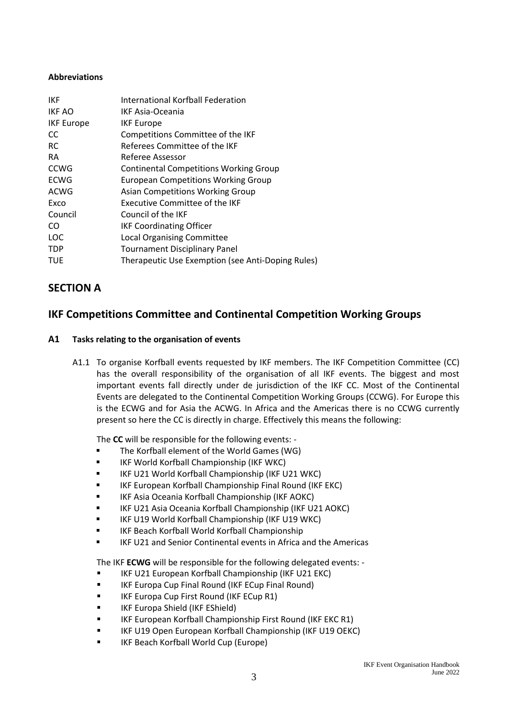#### **Abbreviations**

| <b>IKF</b>        | International Korfball Federation                 |
|-------------------|---------------------------------------------------|
| IKF AO            | <b>IKF Asia-Oceania</b>                           |
| <b>IKF Europe</b> | <b>IKF Europe</b>                                 |
| CC                | Competitions Committee of the IKF                 |
| <b>RC</b>         | Referees Committee of the IKF                     |
| RA.               | Referee Assessor                                  |
| <b>CCWG</b>       | <b>Continental Competitions Working Group</b>     |
| ECWG              | <b>European Competitions Working Group</b>        |
| ACWG              | <b>Asian Competitions Working Group</b>           |
| Exco              | Executive Committee of the IKF                    |
| Council           | Council of the IKF                                |
| CO.               | <b>IKF Coordinating Officer</b>                   |
| <b>LOC</b>        | <b>Local Organising Committee</b>                 |
| <b>TDP</b>        | <b>Tournament Disciplinary Panel</b>              |
| <b>TUE</b>        | Therapeutic Use Exemption (see Anti-Doping Rules) |
|                   |                                                   |

# **SECTION A**

# **IKF Competitions Committee and Continental Competition Working Groups**

#### **A1 Tasks relating to the organisation of events**

A1.1 To organise Korfball events requested by IKF members. The IKF Competition Committee (CC) has the overall responsibility of the organisation of all IKF events. The biggest and most important events fall directly under de jurisdiction of the IKF CC. Most of the Continental Events are delegated to the Continental Competition Working Groups (CCWG). For Europe this is the ECWG and for Asia the ACWG. In Africa and the Americas there is no CCWG currently present so here the CC is directly in charge. Effectively this means the following:

The **CC** will be responsible for the following events: -

- The Korfball element of the World Games (WG)
- IKF World Korfball Championship (IKF WKC)
- IKF U21 World Korfball Championship (IKF U21 WKC)
- IKF European Korfball Championship Final Round (IKF EKC)
- IKF Asia Oceania Korfball Championship (IKF AOKC)
- IKF U21 Asia Oceania Korfball Championship (IKF U21 AOKC)
- IKF U19 World Korfball Championship (IKF U19 WKC)
- **IKF Beach Korfball World Korfball Championship**
- IKF U21 and Senior Continental events in Africa and the Americas

The IKF **ECWG** will be responsible for the following delegated events: -

- IKF U21 European Korfball Championship (IKF U21 EKC)
- IKF Europa Cup Final Round (IKF ECup Final Round)
- IKF Europa Cup First Round (IKF ECup R1)
- IKF Europa Shield (IKF EShield)
- IKF European Korfball Championship First Round (IKF EKC R1)
- IKF U19 Open European Korfball Championship (IKF U19 OEKC)
- IKF Beach Korfball World Cup (Europe)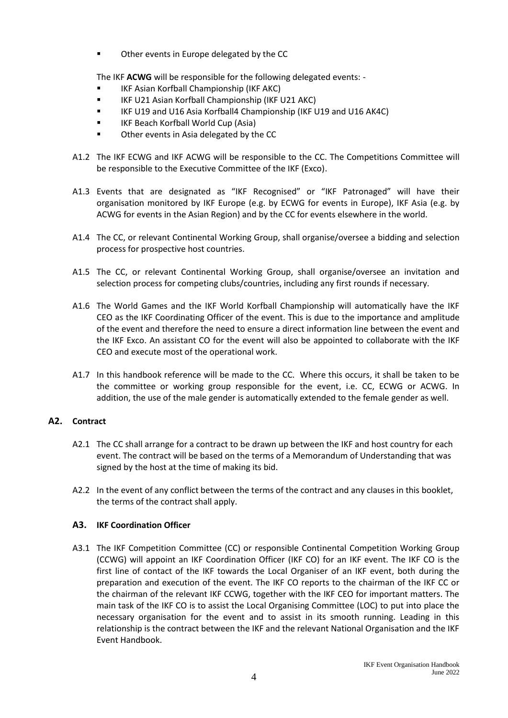■ Other events in Europe delegated by the CC

The IKF **ACWG** will be responsible for the following delegated events: -

- IKF Asian Korfball Championship (IKF AKC)
- IKF U21 Asian Korfball Championship (IKF U21 AKC)
- IKF U19 and U16 Asia Korfball4 Championship (IKF U19 and U16 AK4C)
- IKF Beach Korfball World Cup (Asia)
- Other events in Asia delegated by the CC
- A1.2 The IKF ECWG and IKF ACWG will be responsible to the CC. The Competitions Committee will be responsible to the Executive Committee of the IKF (Exco).
- A1.3 Events that are designated as "IKF Recognised" or "IKF Patronaged" will have their organisation monitored by IKF Europe (e.g. by ECWG for events in Europe), IKF Asia (e.g. by ACWG for events in the Asian Region) and by the CC for events elsewhere in the world.
- A1.4 The CC, or relevant Continental Working Group, shall organise/oversee a bidding and selection process for prospective host countries.
- A1.5 The CC, or relevant Continental Working Group, shall organise/oversee an invitation and selection process for competing clubs/countries, including any first rounds if necessary.
- A1.6 The World Games and the IKF World Korfball Championship will automatically have the IKF CEO as the IKF Coordinating Officer of the event. This is due to the importance and amplitude of the event and therefore the need to ensure a direct information line between the event and the IKF Exco. An assistant CO for the event will also be appointed to collaborate with the IKF CEO and execute most of the operational work.
- A1.7 In this handbook reference will be made to the CC. Where this occurs, it shall be taken to be the committee or working group responsible for the event, i.e. CC, ECWG or ACWG. In addition, the use of the male gender is automatically extended to the female gender as well.

# **A2. Contract**

- A2.1 The CC shall arrange for a contract to be drawn up between the IKF and host country for each event. The contract will be based on the terms of a Memorandum of Understanding that was signed by the host at the time of making its bid.
- A2.2 In the event of any conflict between the terms of the contract and any clauses in this booklet, the terms of the contract shall apply.

# **A3. IKF Coordination Officer**

A3.1 The IKF Competition Committee (CC) or responsible Continental Competition Working Group (CCWG) will appoint an IKF Coordination Officer (IKF CO) for an IKF event. The IKF CO is the first line of contact of the IKF towards the Local Organiser of an IKF event, both during the preparation and execution of the event. The IKF CO reports to the chairman of the IKF CC or the chairman of the relevant IKF CCWG, together with the IKF CEO for important matters. The main task of the IKF CO is to assist the Local Organising Committee (LOC) to put into place the necessary organisation for the event and to assist in its smooth running. Leading in this relationship is the contract between the IKF and the relevant National Organisation and the IKF Event Handbook.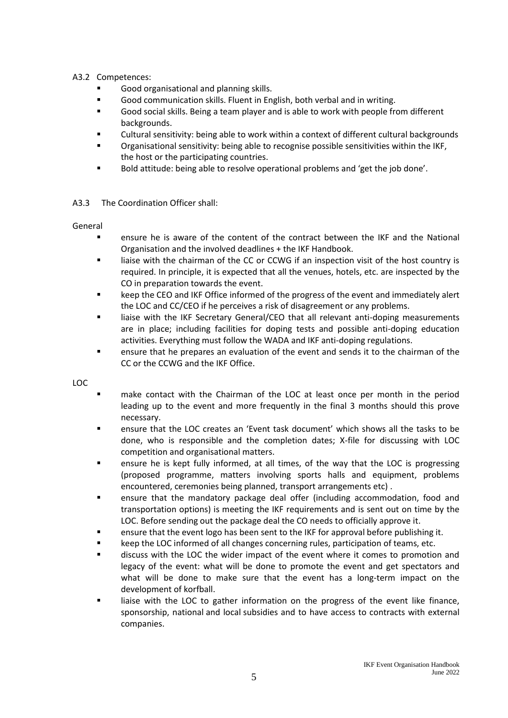# A3.2 Competences:

- Good organisational and planning skills.
- Good communication skills. Fluent in English, both verbal and in writing.
- Good social skills. Being a team player and is able to work with people from different backgrounds.
- Cultural sensitivity: being able to work within a context of different cultural backgrounds
- Organisational sensitivity: being able to recognise possible sensitivities within the IKF, the host or the participating countries.
- Bold attitude: being able to resolve operational problems and 'get the job done'.

# A3.3 The Coordination Officer shall:

# General

- ensure he is aware of the content of the contract between the IKF and the National Organisation and the involved deadlines + the IKF Handbook.
- liaise with the chairman of the CC or CCWG if an inspection visit of the host country is required. In principle, it is expected that all the venues, hotels, etc. are inspected by the CO in preparation towards the event.
- keep the CEO and IKF Office informed of the progress of the event and immediately alert the LOC and CC/CEO if he perceives a risk of disagreement or any problems.
- **■** liaise with the IKF Secretary General/CEO that all relevant anti-doping measurements are in place; including facilities for doping tests and possible anti-doping education activities. Everything must follow the WADA and IKF anti-doping regulations.
- ensure that he prepares an evaluation of the event and sends it to the chairman of the CC or the CCWG and the IKF Office.

LOC

- make contact with the Chairman of the LOC at least once per month in the period leading up to the event and more frequently in the final 3 months should this prove necessary.
- ensure that the LOC creates an 'Event task document' which shows all the tasks to be done, who is responsible and the completion dates; X-file for discussing with LOC competition and organisational matters.
- **•** ensure he is kept fully informed, at all times, of the way that the LOC is progressing (proposed programme, matters involving sports halls and equipment, problems encountered, ceremonies being planned, transport arrangements etc) .
- ensure that the mandatory package deal offer (including accommodation, food and transportation options) is meeting the IKF requirements and is sent out on time by the LOC. Before sending out the package deal the CO needs to officially approve it.
- ensure that the event logo has been sent to the IKF for approval before publishing it.
- keep the LOC informed of all changes concerning rules, participation of teams, etc.
- discuss with the LOC the wider impact of the event where it comes to promotion and legacy of the event: what will be done to promote the event and get spectators and what will be done to make sure that the event has a long-term impact on the development of korfball.
- liaise with the LOC to gather information on the progress of the event like finance, sponsorship, national and local subsidies and to have access to contracts with external companies.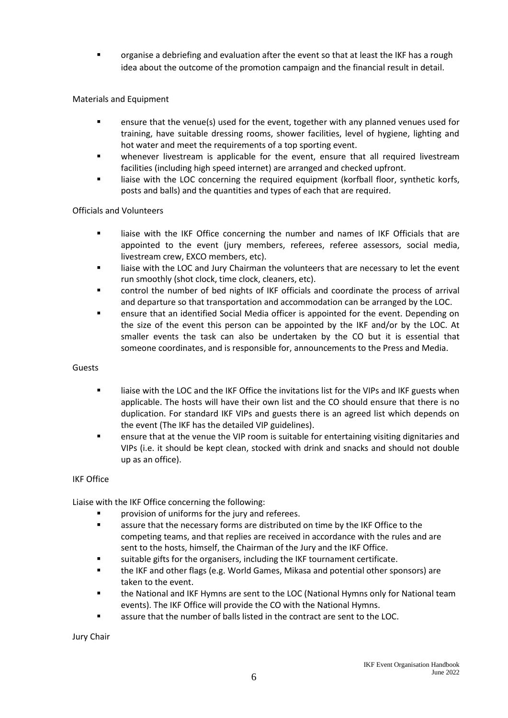organise a debriefing and evaluation after the event so that at least the IKF has a rough idea about the outcome of the promotion campaign and the financial result in detail.

# Materials and Equipment

- ensure that the venue(s) used for the event, together with any planned venues used for training, have suitable dressing rooms, shower facilities, level of hygiene, lighting and hot water and meet the requirements of a top sporting event.
- whenever livestream is applicable for the event, ensure that all required livestream facilities (including high speed internet) are arranged and checked upfront.
- liaise with the LOC concerning the required equipment (korfball floor, synthetic korfs, posts and balls) and the quantities and types of each that are required.

#### Officials and Volunteers

- liaise with the IKF Office concerning the number and names of IKF Officials that are appointed to the event (jury members, referees, referee assessors, social media, livestream crew, EXCO members, etc).
- liaise with the LOC and Jury Chairman the volunteers that are necessary to let the event run smoothly (shot clock, time clock, cleaners, etc).
- control the number of bed nights of IKF officials and coordinate the process of arrival and departure so that transportation and accommodation can be arranged by the LOC.
- ensure that an identified Social Media officer is appointed for the event. Depending on the size of the event this person can be appointed by the IKF and/or by the LOC. At smaller events the task can also be undertaken by the CO but it is essential that someone coordinates, and is responsible for, announcements to the Press and Media.

#### Guests

- liaise with the LOC and the IKF Office the invitations list for the VIPs and IKF guests when applicable. The hosts will have their own list and the CO should ensure that there is no duplication. For standard IKF VIPs and guests there is an agreed list which depends on the event (The IKF has the detailed VIP guidelines).
- ensure that at the venue the VIP room is suitable for entertaining visiting dignitaries and VIPs (i.e. it should be kept clean, stocked with drink and snacks and should not double up as an office).

#### IKF Office

Liaise with the IKF Office concerning the following:

- provision of uniforms for the jury and referees.
- **EXECT** assure that the necessary forms are distributed on time by the IKF Office to the competing teams, and that replies are received in accordance with the rules and are sent to the hosts, himself, the Chairman of the Jury and the IKF Office.
- suitable gifts for the organisers, including the IKF tournament certificate.
- the IKF and other flags (e.g. World Games, Mikasa and potential other sponsors) are taken to the event.
- **.** the National and IKF Hymns are sent to the LOC (National Hymns only for National team events). The IKF Office will provide the CO with the National Hymns.
- assure that the number of balls listed in the contract are sent to the LOC.

Jury Chair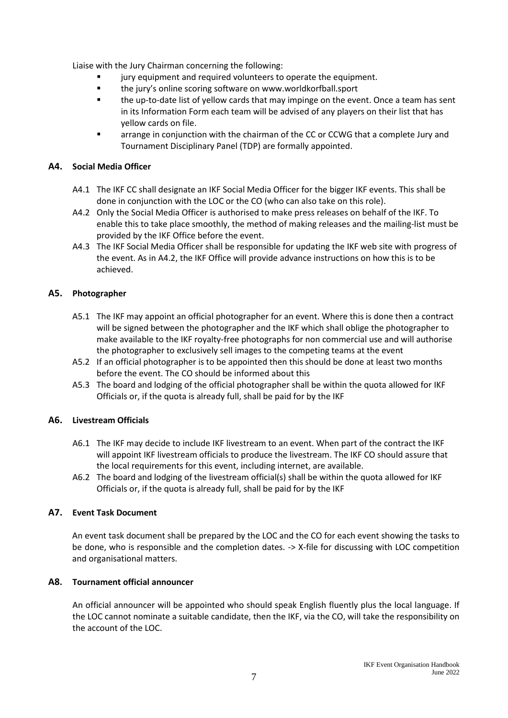Liaise with the Jury Chairman concerning the following:

- jury equipment and required volunteers to operate the equipment.
- the jury's online scoring software on www.worldkorfball.sport
- the up-to-date list of yellow cards that may impinge on the event. Once a team has sent in its Information Form each team will be advised of any players on their list that has yellow cards on file.
- arrange in conjunction with the chairman of the CC or CCWG that a complete Jury and Tournament Disciplinary Panel (TDP) are formally appointed.

#### **A4. Social Media Officer**

- A4.1 The IKF CC shall designate an IKF Social Media Officer for the bigger IKF events. This shall be done in conjunction with the LOC or the CO (who can also take on this role).
- A4.2 Only the Social Media Officer is authorised to make press releases on behalf of the IKF. To enable this to take place smoothly, the method of making releases and the mailing-list must be provided by the IKF Office before the event.
- A4.3 The IKF Social Media Officer shall be responsible for updating the IKF web site with progress of the event. As in A4.2, the IKF Office will provide advance instructions on how this is to be achieved.

# **A5. Photographer**

- A5.1 The IKF may appoint an official photographer for an event. Where this is done then a contract will be signed between the photographer and the IKF which shall oblige the photographer to make available to the IKF royalty-free photographs for non commercial use and will authorise the photographer to exclusively sell images to the competing teams at the event
- A5.2 If an official photographer is to be appointed then this should be done at least two months before the event. The CO should be informed about this
- A5.3 The board and lodging of the official photographer shall be within the quota allowed for IKF Officials or, if the quota is already full, shall be paid for by the IKF

#### **A6. Livestream Officials**

- A6.1 The IKF may decide to include IKF livestream to an event. When part of the contract the IKF will appoint IKF livestream officials to produce the livestream. The IKF CO should assure that the local requirements for this event, including internet, are available.
- A6.2 The board and lodging of the livestream official(s) shall be within the quota allowed for IKF Officials or, if the quota is already full, shall be paid for by the IKF

#### **A7. Event Task Document**

An event task document shall be prepared by the LOC and the CO for each event showing the tasks to be done, who is responsible and the completion dates. -> X-file for discussing with LOC competition and organisational matters.

#### **A8. Tournament official announcer**

An official announcer will be appointed who should speak English fluently plus the local language. If the LOC cannot nominate a suitable candidate, then the IKF, via the CO, will take the responsibility on the account of the LOC.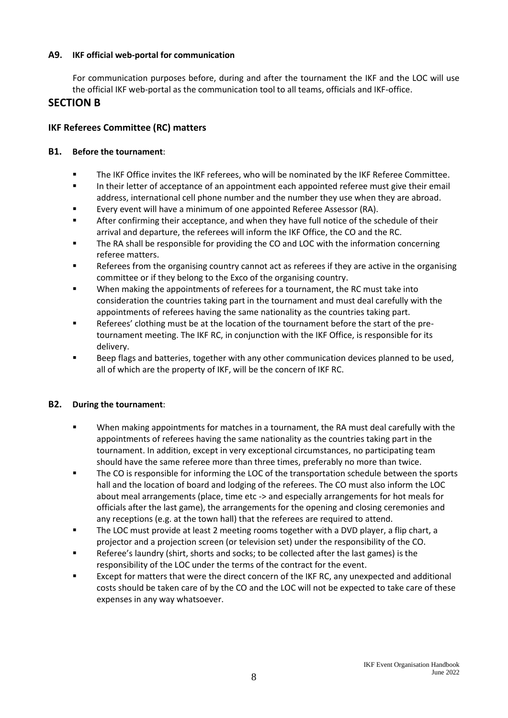# **A9. IKF official web-portal for communication**

For communication purposes before, during and after the tournament the IKF and the LOC will use the official IKF web-portal as the communication tool to all teams, officials and IKF-office.

# **SECTION B**

# **IKF Referees Committee (RC) matters**

# **B1. Before the tournament**:

- The IKF Office invites the IKF referees, who will be nominated by the IKF Referee Committee.
- **■** In their letter of acceptance of an appointment each appointed referee must give their email address, international cell phone number and the number they use when they are abroad.
- Every event will have a minimum of one appointed Referee Assessor (RA).
- After confirming their acceptance, and when they have full notice of the schedule of their arrival and departure, the referees will inform the IKF Office, the CO and the RC.
- The RA shall be responsible for providing the CO and LOC with the information concerning referee matters.
- Referees from the organising country cannot act as referees if they are active in the organising committee or if they belong to the Exco of the organising country.
- When making the appointments of referees for a tournament, the RC must take into consideration the countries taking part in the tournament and must deal carefully with the appointments of referees having the same nationality as the countries taking part.
- Referees' clothing must be at the location of the tournament before the start of the pretournament meeting. The IKF RC, in conjunction with the IKF Office, is responsible for its delivery.
- Beep flags and batteries, together with any other communication devices planned to be used, all of which are the property of IKF, will be the concern of IKF RC.

# **B2. During the tournament**:

- When making appointments for matches in a tournament, the RA must deal carefully with the appointments of referees having the same nationality as the countries taking part in the tournament. In addition, except in very exceptional circumstances, no participating team should have the same referee more than three times, preferably no more than twice.
- The CO is responsible for informing the LOC of the transportation schedule between the sports hall and the location of board and lodging of the referees. The CO must also inform the LOC about meal arrangements (place, time etc -> and especially arrangements for hot meals for officials after the last game), the arrangements for the opening and closing ceremonies and any receptions (e.g. at the town hall) that the referees are required to attend.
- The LOC must provide at least 2 meeting rooms together with a DVD player, a flip chart, a projector and a projection screen (or television set) under the responsibility of the CO.
- Referee's laundry (shirt, shorts and socks; to be collected after the last games) is the responsibility of the LOC under the terms of the contract for the event.
- Except for matters that were the direct concern of the IKF RC, any unexpected and additional costs should be taken care of by the CO and the LOC will not be expected to take care of these expenses in any way whatsoever.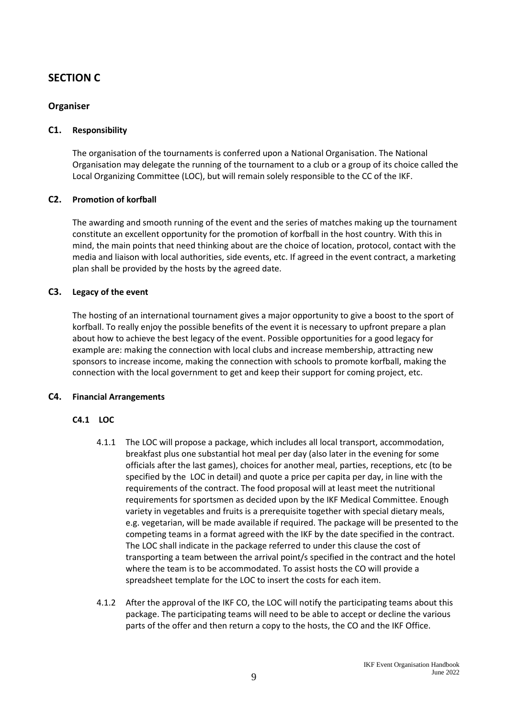# **SECTION C**

# **Organiser**

#### **C1. Responsibility**

The organisation of the tournaments is conferred upon a National Organisation. The National Organisation may delegate the running of the tournament to a club or a group of its choice called the Local Organizing Committee (LOC), but will remain solely responsible to the CC of the IKF.

#### **C2. Promotion of korfball**

The awarding and smooth running of the event and the series of matches making up the tournament constitute an excellent opportunity for the promotion of korfball in the host country. With this in mind, the main points that need thinking about are the choice of location, protocol, contact with the media and liaison with local authorities, side events, etc. If agreed in the event contract, a marketing plan shall be provided by the hosts by the agreed date.

#### **C3. Legacy of the event**

The hosting of an international tournament gives a major opportunity to give a boost to the sport of korfball. To really enjoy the possible benefits of the event it is necessary to upfront prepare a plan about how to achieve the best legacy of the event. Possible opportunities for a good legacy for example are: making the connection with local clubs and increase membership, attracting new sponsors to increase income, making the connection with schools to promote korfball, making the connection with the local government to get and keep their support for coming project, etc.

#### **C4. Financial Arrangements**

#### **C4.1 LOC**

- 4.1.1 The LOC will propose a package, which includes all local transport, accommodation, breakfast plus one substantial hot meal per day (also later in the evening for some officials after the last games), choices for another meal, parties, receptions, etc (to be specified by the LOC in detail) and quote a price per capita per day, in line with the requirements of the contract. The food proposal will at least meet the nutritional requirements for sportsmen as decided upon by the IKF Medical Committee. Enough variety in vegetables and fruits is a prerequisite together with special dietary meals, e.g. vegetarian, will be made available if required. The package will be presented to the competing teams in a format agreed with the IKF by the date specified in the contract. The LOC shall indicate in the package referred to under this clause the cost of transporting a team between the arrival point/s specified in the contract and the hotel where the team is to be accommodated. To assist hosts the CO will provide a spreadsheet template for the LOC to insert the costs for each item.
- 4.1.2 After the approval of the IKF CO, the LOC will notify the participating teams about this package. The participating teams will need to be able to accept or decline the various parts of the offer and then return a copy to the hosts, the CO and the IKF Office.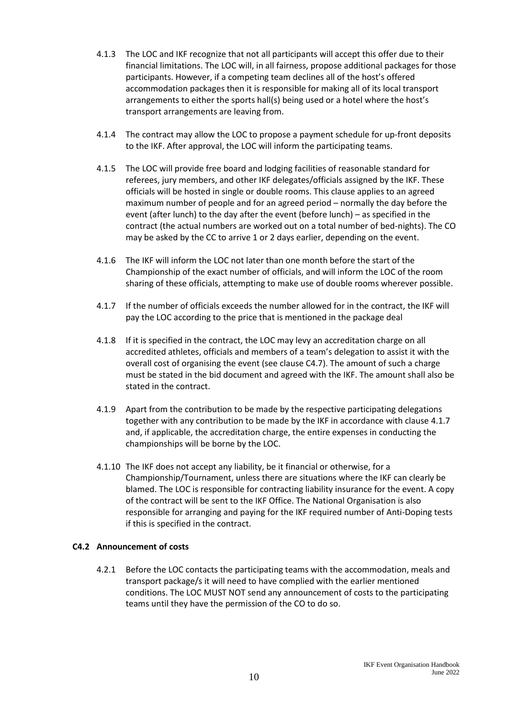- 4.1.3 The LOC and IKF recognize that not all participants will accept this offer due to their financial limitations. The LOC will, in all fairness, propose additional packages for those participants. However, if a competing team declines all of the host's offered accommodation packages then it is responsible for making all of its local transport arrangements to either the sports hall(s) being used or a hotel where the host's transport arrangements are leaving from.
- 4.1.4 The contract may allow the LOC to propose a payment schedule for up-front deposits to the IKF. After approval, the LOC will inform the participating teams.
- 4.1.5 The LOC will provide free board and lodging facilities of reasonable standard for referees, jury members, and other IKF delegates/officials assigned by the IKF. These officials will be hosted in single or double rooms. This clause applies to an agreed maximum number of people and for an agreed period – normally the day before the event (after lunch) to the day after the event (before lunch) – as specified in the contract (the actual numbers are worked out on a total number of bed-nights). The CO may be asked by the CC to arrive 1 or 2 days earlier, depending on the event.
- 4.1.6 The IKF will inform the LOC not later than one month before the start of the Championship of the exact number of officials, and will inform the LOC of the room sharing of these officials, attempting to make use of double rooms wherever possible.
- 4.1.7 If the number of officials exceeds the number allowed for in the contract, the IKF will pay the LOC according to the price that is mentioned in the package deal
- 4.1.8 If it is specified in the contract, the LOC may levy an accreditation charge on all accredited athletes, officials and members of a team's delegation to assist it with the overall cost of organising the event (see clause C4.7). The amount of such a charge must be stated in the bid document and agreed with the IKF. The amount shall also be stated in the contract.
- 4.1.9 Apart from the contribution to be made by the respective participating delegations together with any contribution to be made by the IKF in accordance with clause 4.1.7 and, if applicable, the accreditation charge, the entire expenses in conducting the championships will be borne by the LOC.
- 4.1.10 The IKF does not accept any liability, be it financial or otherwise, for a Championship/Tournament, unless there are situations where the IKF can clearly be blamed. The LOC is responsible for contracting liability insurance for the event. A copy of the contract will be sent to the IKF Office. The National Organisation is also responsible for arranging and paying for the IKF required number of Anti-Doping tests if this is specified in the contract.

# **C4.2 Announcement of costs**

4.2.1 Before the LOC contacts the participating teams with the accommodation, meals and transport package/s it will need to have complied with the earlier mentioned conditions. The LOC MUST NOT send any announcement of costs to the participating teams until they have the permission of the CO to do so.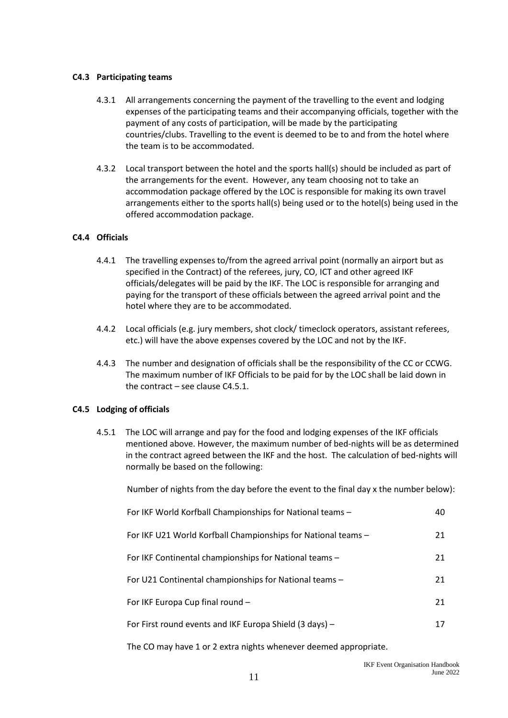#### **C4.3 Participating teams**

- 4.3.1 All arrangements concerning the payment of the travelling to the event and lodging expenses of the participating teams and their accompanying officials, together with the payment of any costs of participation, will be made by the participating countries/clubs. Travelling to the event is deemed to be to and from the hotel where the team is to be accommodated.
- 4.3.2 Local transport between the hotel and the sports hall(s) should be included as part of the arrangements for the event. However, any team choosing not to take an accommodation package offered by the LOC is responsible for making its own travel arrangements either to the sports hall(s) being used or to the hotel(s) being used in the offered accommodation package.

#### **C4.4 Officials**

- 4.4.1 The travelling expenses to/from the agreed arrival point (normally an airport but as specified in the Contract) of the referees, jury, CO, ICT and other agreed IKF officials/delegates will be paid by the IKF. The LOC is responsible for arranging and paying for the transport of these officials between the agreed arrival point and the hotel where they are to be accommodated.
- 4.4.2 Local officials (e.g. jury members, shot clock/ timeclock operators, assistant referees, etc.) will have the above expenses covered by the LOC and not by the IKF.
- 4.4.3 The number and designation of officials shall be the responsibility of the CC or CCWG. The maximum number of IKF Officials to be paid for by the LOC shall be laid down in the contract – see clause C4.5.1.

#### **C4.5 Lodging of officials**

4.5.1 The LOC will arrange and pay for the food and lodging expenses of the IKF officials mentioned above. However, the maximum number of bed-nights will be as determined in the contract agreed between the IKF and the host. The calculation of bed-nights will normally be based on the following:

Number of nights from the day before the event to the final day x the number below):

| For IKF U21 World Korfball Championships for National teams -<br>21 |  |
|---------------------------------------------------------------------|--|
| For IKF Continental championships for National teams -<br>21        |  |
| For U21 Continental championships for National teams -<br>21        |  |
| For IKF Europa Cup final round -<br>21                              |  |
| For First round events and IKF Europa Shield (3 days) -<br>17       |  |

The CO may have 1 or 2 extra nights whenever deemed appropriate.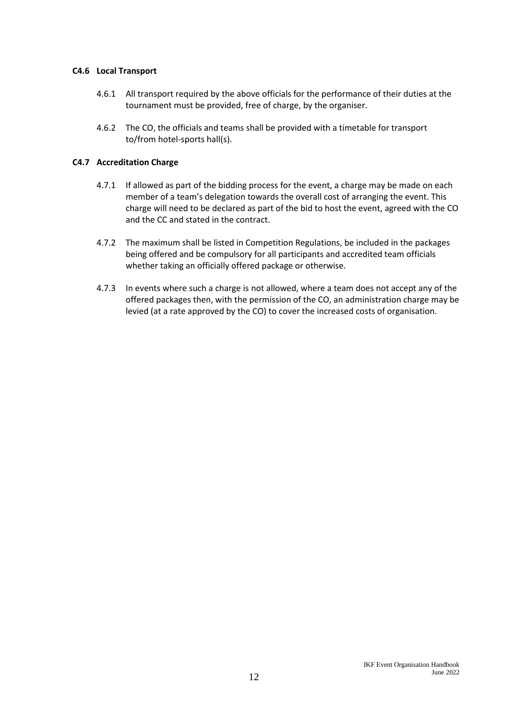#### **C4.6 Local Transport**

- 4.6.1 All transport required by the above officials for the performance of their duties at the tournament must be provided, free of charge, by the organiser.
- 4.6.2 The CO, the officials and teams shall be provided with a timetable for transport to/from hotel-sports hall(s).

# **C4.7 Accreditation Charge**

- 4.7.1 If allowed as part of the bidding process for the event, a charge may be made on each member of a team's delegation towards the overall cost of arranging the event. This charge will need to be declared as part of the bid to host the event, agreed with the CO and the CC and stated in the contract.
- 4.7.2 The maximum shall be listed in Competition Regulations, be included in the packages being offered and be compulsory for all participants and accredited team officials whether taking an officially offered package or otherwise.
- 4.7.3 In events where such a charge is not allowed, where a team does not accept any of the offered packages then, with the permission of the CO, an administration charge may be levied (at a rate approved by the CO) to cover the increased costs of organisation.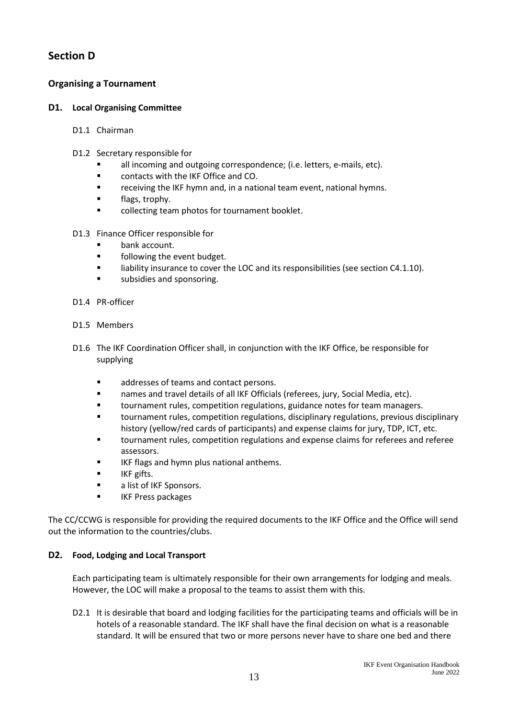# **Section D**

# **Organising a Tournament**

# **D1. Local Organising Committee**

- D1.1 Chairman
- D1.2 Secretary responsible for
	- all incoming and outgoing correspondence; (i.e. letters, e-mails, etc).
	- contacts with the IKF Office and CO.
	- receiving the IKF hymn and, in a national team event, national hymns.
	- flags, trophy.
	- collecting team photos for tournament booklet.
- D1.3 Finance Officer responsible for
	- bank account.
	- following the event budget.
	- liability insurance to cover the LOC and its responsibilities (see section C4.1.10).
	- subsidies and sponsoring.
- D1.4 PR-officer
- D1.5 Members
- D1.6 The IKF Coordination Officer shall, in conjunction with the IKF Office, be responsible for supplying
	- addresses of teams and contact persons.
	- names and travel details of all IKF Officials (referees, jury, Social Media, etc).
	- **■** tournament rules, competition regulations, guidance notes for team managers.
	- tournament rules, competition regulations, disciplinary regulations, previous disciplinary history (yellow/red cards of participants) and expense claims for jury, TDP, ICT, etc.
	- tournament rules, competition regulations and expense claims for referees and referee assessors.
	- IKF flags and hymn plus national anthems.
	- IKF gifts.
	- a list of IKF Sponsors.
	- IKF Press packages

The CC/CCWG is responsible for providing the required documents to the IKF Office and the Office will send out the information to the countries/clubs.

# **D2. Food, Lodging and Local Transport**

Each participating team is ultimately responsible for their own arrangements for lodging and meals. However, the LOC will make a proposal to the teams to assist them with this.

D2.1 It is desirable that board and lodging facilities for the participating teams and officials will be in hotels of a reasonable standard. The IKF shall have the final decision on what is a reasonable standard. It will be ensured that two or more persons never have to share one bed and there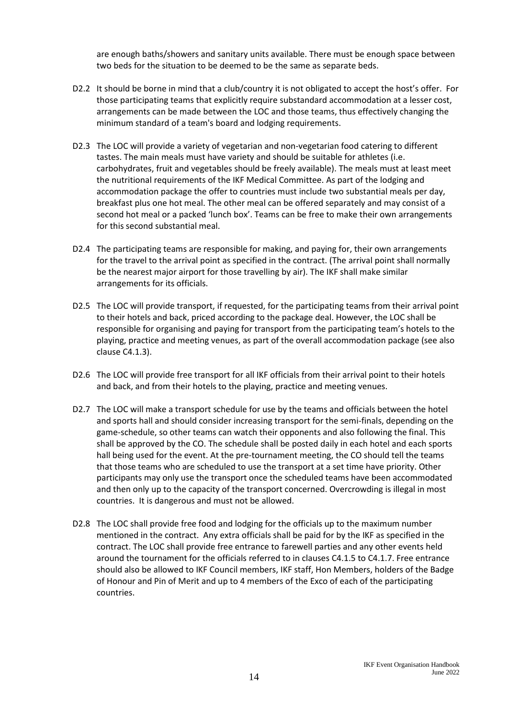are enough baths/showers and sanitary units available. There must be enough space between two beds for the situation to be deemed to be the same as separate beds.

- D2.2 It should be borne in mind that a club/country it is not obligated to accept the host's offer. For those participating teams that explicitly require substandard accommodation at a lesser cost, arrangements can be made between the LOC and those teams, thus effectively changing the minimum standard of a team's board and lodging requirements.
- D2.3 The LOC will provide a variety of vegetarian and non-vegetarian food catering to different tastes. The main meals must have variety and should be suitable for athletes (i.e. carbohydrates, fruit and vegetables should be freely available). The meals must at least meet the nutritional requirements of the IKF Medical Committee. As part of the lodging and accommodation package the offer to countries must include two substantial meals per day, breakfast plus one hot meal. The other meal can be offered separately and may consist of a second hot meal or a packed 'lunch box'. Teams can be free to make their own arrangements for this second substantial meal.
- D2.4 The participating teams are responsible for making, and paying for, their own arrangements for the travel to the arrival point as specified in the contract. (The arrival point shall normally be the nearest major airport for those travelling by air). The IKF shall make similar arrangements for its officials.
- D2.5 The LOC will provide transport, if requested, for the participating teams from their arrival point to their hotels and back, priced according to the package deal. However, the LOC shall be responsible for organising and paying for transport from the participating team's hotels to the playing, practice and meeting venues, as part of the overall accommodation package (see also clause C4.1.3).
- D2.6 The LOC will provide free transport for all IKF officials from their arrival point to their hotels and back, and from their hotels to the playing, practice and meeting venues.
- D2.7 The LOC will make a transport schedule for use by the teams and officials between the hotel and sports hall and should consider increasing transport for the semi-finals, depending on the game-schedule, so other teams can watch their opponents and also following the final. This shall be approved by the CO. The schedule shall be posted daily in each hotel and each sports hall being used for the event. At the pre-tournament meeting, the CO should tell the teams that those teams who are scheduled to use the transport at a set time have priority. Other participants may only use the transport once the scheduled teams have been accommodated and then only up to the capacity of the transport concerned. Overcrowding is illegal in most countries. It is dangerous and must not be allowed.
- D2.8 The LOC shall provide free food and lodging for the officials up to the maximum number mentioned in the contract. Any extra officials shall be paid for by the IKF as specified in the contract. The LOC shall provide free entrance to farewell parties and any other events held around the tournament for the officials referred to in clauses C4.1.5 to C4.1.7. Free entrance should also be allowed to IKF Council members, IKF staff, Hon Members, holders of the Badge of Honour and Pin of Merit and up to 4 members of the Exco of each of the participating countries.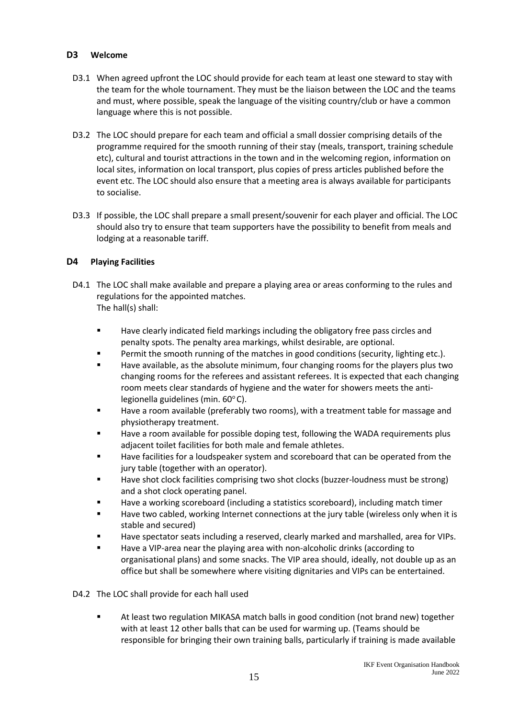#### **D3 Welcome**

- D3.1 When agreed upfront the LOC should provide for each team at least one steward to stay with the team for the whole tournament. They must be the liaison between the LOC and the teams and must, where possible, speak the language of the visiting country/club or have a common language where this is not possible.
- D3.2 The LOC should prepare for each team and official a small dossier comprising details of the programme required for the smooth running of their stay (meals, transport, training schedule etc), cultural and tourist attractions in the town and in the welcoming region, information on local sites, information on local transport, plus copies of press articles published before the event etc. The LOC should also ensure that a meeting area is always available for participants to socialise.
- D3.3 If possible, the LOC shall prepare a small present/souvenir for each player and official. The LOC should also try to ensure that team supporters have the possibility to benefit from meals and lodging at a reasonable tariff.

# **D4 Playing Facilities**

- D4.1 The LOC shall make available and prepare a playing area or areas conforming to the rules and regulations for the appointed matches. The hall(s) shall:
	- Have clearly indicated field markings including the obligatory free pass circles and penalty spots. The penalty area markings, whilst desirable, are optional.
	- Permit the smooth running of the matches in good conditions (security, lighting etc.).
	- Have available, as the absolute minimum, four changing rooms for the players plus two changing rooms for the referees and assistant referees. It is expected that each changing room meets clear standards of hygiene and the water for showers meets the antilegionella guidelines (min.  $60^{\circ}$ C).
	- Have a room available (preferably two rooms), with a treatment table for massage and physiotherapy treatment.
	- Have a room available for possible doping test, following the WADA requirements plus adjacent toilet facilities for both male and female athletes.
	- Have facilities for a loudspeaker system and scoreboard that can be operated from the jury table (together with an operator).
	- Have shot clock facilities comprising two shot clocks (buzzer-loudness must be strong) and a shot clock operating panel.
	- Have a working scoreboard (including a statistics scoreboard), including match timer
	- Have two cabled, working Internet connections at the jury table (wireless only when it is stable and secured)
	- Have spectator seats including a reserved, clearly marked and marshalled, area for VIPs.
	- Have a VIP-area near the playing area with non-alcoholic drinks (according to organisational plans) and some snacks. The VIP area should, ideally, not double up as an office but shall be somewhere where visiting dignitaries and VIPs can be entertained.

D4.2 The LOC shall provide for each hall used

■ At least two regulation MIKASA match balls in good condition (not brand new) together with at least 12 other balls that can be used for warming up. (Teams should be responsible for bringing their own training balls, particularly if training is made available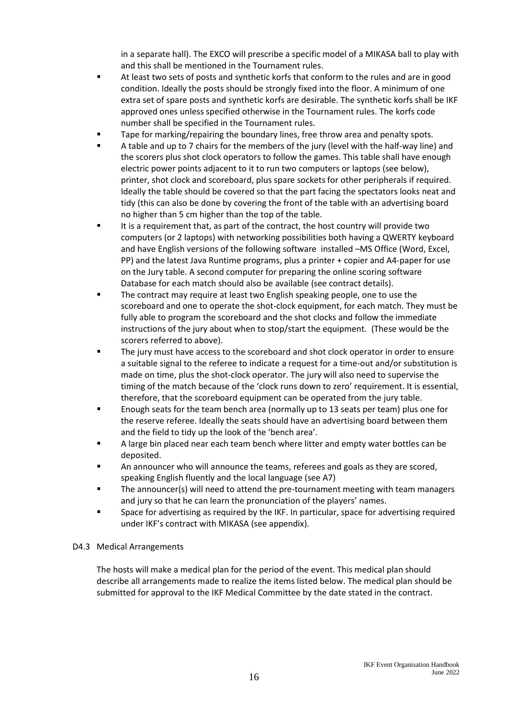in a separate hall). The EXCO will prescribe a specific model of a MIKASA ball to play with and this shall be mentioned in the Tournament rules.

- At least two sets of posts and synthetic korfs that conform to the rules and are in good condition. Ideally the posts should be strongly fixed into the floor. A minimum of one extra set of spare posts and synthetic korfs are desirable. The synthetic korfs shall be IKF approved ones unless specified otherwise in the Tournament rules. The korfs code number shall be specified in the Tournament rules.
- Tape for marking/repairing the boundary lines, free throw area and penalty spots.
- A table and up to 7 chairs for the members of the jury (level with the half-way line) and the scorers plus shot clock operators to follow the games. This table shall have enough electric power points adjacent to it to run two computers or laptops (see below), printer, shot clock and scoreboard, plus spare sockets for other peripherals if required. Ideally the table should be covered so that the part facing the spectators looks neat and tidy (this can also be done by covering the front of the table with an advertising board no higher than 5 cm higher than the top of the table.
- It is a requirement that, as part of the contract, the host country will provide two computers (or 2 laptops) with networking possibilities both having a QWERTY keyboard and have English versions of the following software installed –MS Office (Word, Excel, PP) and the latest Java Runtime programs, plus a printer + copier and A4-paper for use on the Jury table. A second computer for preparing the online scoring software Database for each match should also be available (see contract details).
- The contract may require at least two English speaking people, one to use the scoreboard and one to operate the shot-clock equipment, for each match. They must be fully able to program the scoreboard and the shot clocks and follow the immediate instructions of the jury about when to stop/start the equipment. (These would be the scorers referred to above).
- The jury must have access to the scoreboard and shot clock operator in order to ensure a suitable signal to the referee to indicate a request for a time-out and/or substitution is made on time, plus the shot-clock operator. The jury will also need to supervise the timing of the match because of the 'clock runs down to zero' requirement. It is essential, therefore, that the scoreboard equipment can be operated from the jury table.
- Enough seats for the team bench area (normally up to 13 seats per team) plus one for the reserve referee. Ideally the seats should have an advertising board between them and the field to tidy up the look of the 'bench area'.
- A large bin placed near each team bench where litter and empty water bottles can be deposited.
- An announcer who will announce the teams, referees and goals as they are scored, speaking English fluently and the local language (see A7)
- The announcer(s) will need to attend the pre-tournament meeting with team managers and jury so that he can learn the pronunciation of the players' names.
- Space for advertising as required by the IKF. In particular, space for advertising required under IKF's contract with MIKASA (see appendix).

# D4.3 Medical Arrangements

The hosts will make a medical plan for the period of the event. This medical plan should describe all arrangements made to realize the items listed below. The medical plan should be submitted for approval to the IKF Medical Committee by the date stated in the contract.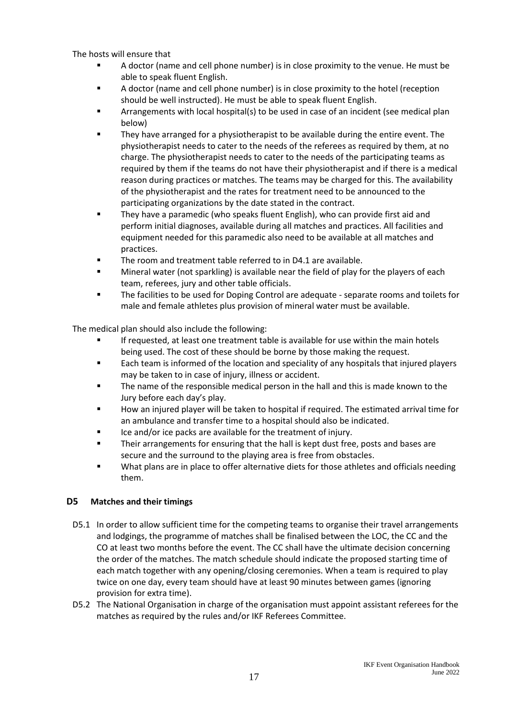The hosts will ensure that

- A doctor (name and cell phone number) is in close proximity to the venue. He must be able to speak fluent English.
- A doctor (name and cell phone number) is in close proximity to the hotel (reception should be well instructed). He must be able to speak fluent English.
- Arrangements with local hospital(s) to be used in case of an incident (see medical plan below)
- They have arranged for a physiotherapist to be available during the entire event. The physiotherapist needs to cater to the needs of the referees as required by them, at no charge. The physiotherapist needs to cater to the needs of the participating teams as required by them if the teams do not have their physiotherapist and if there is a medical reason during practices or matches. The teams may be charged for this. The availability of the physiotherapist and the rates for treatment need to be announced to the participating organizations by the date stated in the contract.
- They have a paramedic (who speaks fluent English), who can provide first aid and perform initial diagnoses, available during all matches and practices. All facilities and equipment needed for this paramedic also need to be available at all matches and practices.
- The room and treatment table referred to in D4.1 are available.
- Mineral water (not sparkling) is available near the field of play for the players of each team, referees, jury and other table officials.
- The facilities to be used for Doping Control are adequate separate rooms and toilets for male and female athletes plus provision of mineral water must be available.

The medical plan should also include the following:

- If requested, at least one treatment table is available for use within the main hotels being used. The cost of these should be borne by those making the request.
- Each team is informed of the location and speciality of any hospitals that injured players may be taken to in case of injury, illness or accident.
- The name of the responsible medical person in the hall and this is made known to the Jury before each day's play.
- How an injured player will be taken to hospital if required. The estimated arrival time for an ambulance and transfer time to a hospital should also be indicated.
- Ice and/or ice packs are available for the treatment of injury.
- Their arrangements for ensuring that the hall is kept dust free, posts and bases are secure and the surround to the playing area is free from obstacles.
- What plans are in place to offer alternative diets for those athletes and officials needing them.

# **D5 Matches and their timings**

- D5.1 In order to allow sufficient time for the competing teams to organise their travel arrangements and lodgings, the programme of matches shall be finalised between the LOC, the CC and the CO at least two months before the event. The CC shall have the ultimate decision concerning the order of the matches. The match schedule should indicate the proposed starting time of each match together with any opening/closing ceremonies. When a team is required to play twice on one day, every team should have at least 90 minutes between games (ignoring provision for extra time).
- D5.2 The National Organisation in charge of the organisation must appoint assistant referees for the matches as required by the rules and/or IKF Referees Committee.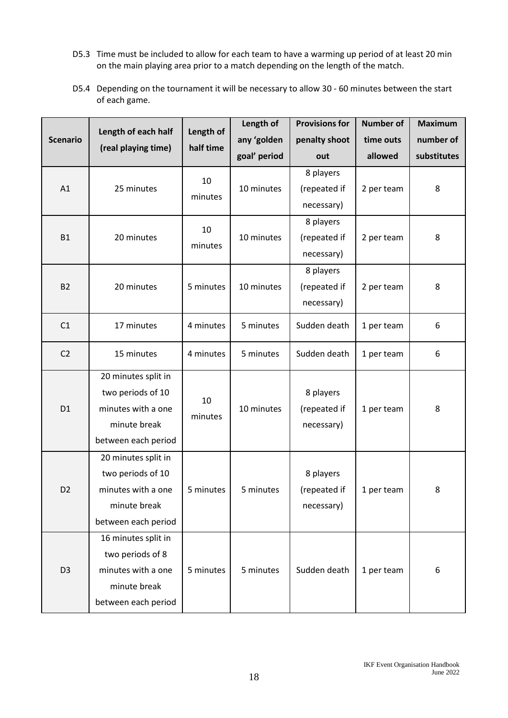- D5.3 Time must be included to allow for each team to have a warming up period of at least 20 min on the main playing area prior to a match depending on the length of the match.
- D5.4 Depending on the tournament it will be necessary to allow 30 60 minutes between the start of each game.

|                 | Length of each half | Length of | Length of    | <b>Provisions for</b> | <b>Number of</b> | <b>Maximum</b> |
|-----------------|---------------------|-----------|--------------|-----------------------|------------------|----------------|
| <b>Scenario</b> | (real playing time) | half time | any 'golden  | penalty shoot         | time outs        | number of      |
|                 |                     |           | goal' period | out                   | allowed          | substitutes    |
|                 |                     | 10        |              | 8 players             |                  |                |
| A1              | 25 minutes          | minutes   | 10 minutes   | (repeated if          | 2 per team       | 8              |
|                 |                     |           |              | necessary)            |                  |                |
|                 |                     | 10        |              | 8 players             |                  |                |
| <b>B1</b>       | 20 minutes          |           | 10 minutes   | (repeated if          | 2 per team       | 8              |
|                 |                     | minutes   |              | necessary)            |                  |                |
|                 |                     |           |              | 8 players             |                  |                |
| <b>B2</b>       | 20 minutes          | 5 minutes | 10 minutes   | (repeated if          | 2 per team       | 8              |
|                 |                     |           |              | necessary)            |                  |                |
| C1              | 17 minutes          | 4 minutes | 5 minutes    | Sudden death          | 1 per team       | 6              |
|                 |                     |           |              |                       |                  |                |
| C <sub>2</sub>  | 15 minutes          | 4 minutes | 5 minutes    | Sudden death          | 1 per team       | 6              |
|                 | 20 minutes split in |           |              |                       |                  |                |
|                 | two periods of 10   | 10        |              | 8 players             |                  |                |
| D <sub>1</sub>  | minutes with a one  | minutes   | 10 minutes   | (repeated if          | 1 per team       | 8              |
|                 | minute break        |           |              | necessary)            |                  |                |
|                 | between each period |           |              |                       |                  |                |
|                 | 20 minutes split in |           |              |                       |                  |                |
|                 | two periods of 10   |           |              | 8 players             |                  |                |
| D <sub>2</sub>  | minutes with a one  | 5 minutes | 5 minutes    | (repeated if          | 1 per team       | 8              |
|                 | minute break        |           |              | necessary)            |                  |                |
|                 | between each period |           |              |                       |                  |                |
|                 | 16 minutes split in |           |              |                       |                  |                |
|                 | two periods of 8    |           |              |                       |                  |                |
| D <sub>3</sub>  | minutes with a one  | 5 minutes | 5 minutes    | Sudden death          | 1 per team       | 6              |
|                 | minute break        |           |              |                       |                  |                |
|                 | between each period |           |              |                       |                  |                |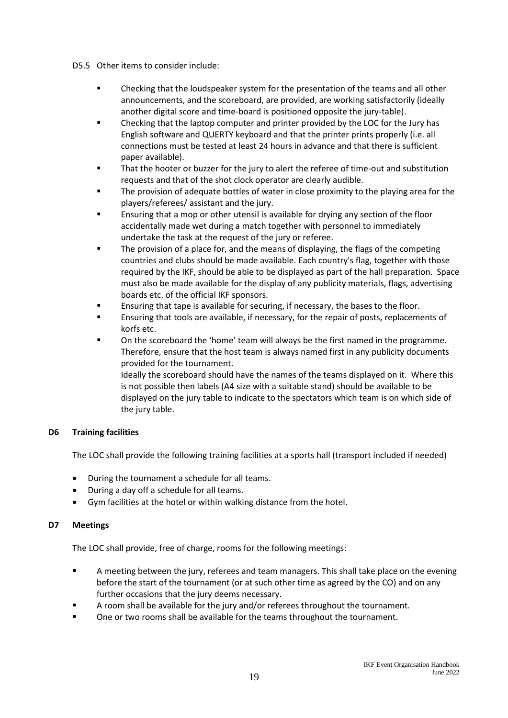#### D5.5 Other items to consider include:

- **•** Checking that the loudspeaker system for the presentation of the teams and all other announcements, and the scoreboard, are provided, are working satisfactorily (ideally another digital score and time-board is positioned opposite the jury-table).
- Checking that the laptop computer and printer provided by the LOC for the Jury has English software and QUERTY keyboard and that the printer prints properly (i.e. all connections must be tested at least 24 hours in advance and that there is sufficient paper available).
- That the hooter or buzzer for the jury to alert the referee of time-out and substitution requests and that of the shot clock operator are clearly audible.
- **The provision of adequate bottles of water in close proximity to the playing area for the** players/referees/ assistant and the jury.
- Ensuring that a mop or other utensil is available for drying any section of the floor accidentally made wet during a match together with personnel to immediately undertake the task at the request of the jury or referee.
- The provision of a place for, and the means of displaying, the flags of the competing countries and clubs should be made available. Each country's flag, together with those required by the IKF, should be able to be displayed as part of the hall preparation. Space must also be made available for the display of any publicity materials, flags, advertising boards etc. of the official IKF sponsors.
- Ensuring that tape is available for securing, if necessary, the bases to the floor.
- **E** Ensuring that tools are available, if necessary, for the repair of posts, replacements of korfs etc.
- On the scoreboard the 'home' team will always be the first named in the programme. Therefore, ensure that the host team is always named first in any publicity documents provided for the tournament.

Ideally the scoreboard should have the names of the teams displayed on it. Where this is not possible then labels (A4 size with a suitable stand) should be available to be displayed on the jury table to indicate to the spectators which team is on which side of the jury table.

# **D6 Training facilities**

The LOC shall provide the following training facilities at a sports hall (transport included if needed)

- During the tournament a schedule for all teams.
- During a day off a schedule for all teams.
- Gym facilities at the hotel or within walking distance from the hotel.

# **D7 Meetings**

The LOC shall provide, free of charge, rooms for the following meetings:

- A meeting between the jury, referees and team managers. This shall take place on the evening before the start of the tournament (or at such other time as agreed by the CO) and on any further occasions that the jury deems necessary.
- A room shall be available for the jury and/or referees throughout the tournament.
- One or two rooms shall be available for the teams throughout the tournament.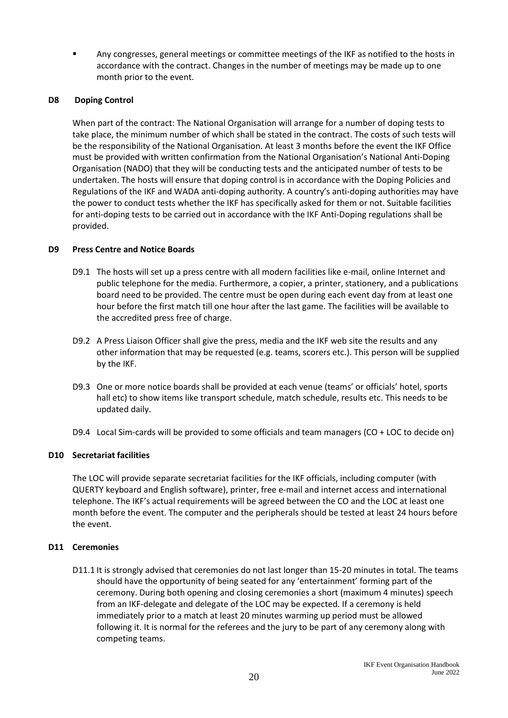Any congresses, general meetings or committee meetings of the IKF as notified to the hosts in accordance with the contract. Changes in the number of meetings may be made up to one month prior to the event.

#### **D8 Doping Control**

When part of the contract: The National Organisation will arrange for a number of doping tests to take place, the minimum number of which shall be stated in the contract. The costs of such tests will be the responsibility of the National Organisation. At least 3 months before the event the IKF Office must be provided with written confirmation from the National Organisation's National Anti-Doping Organisation (NADO) that they will be conducting tests and the anticipated number of tests to be undertaken. The hosts will ensure that doping control is in accordance with the Doping Policies and Regulations of the IKF and WADA anti-doping authority. A country's anti-doping authorities may have the power to conduct tests whether the IKF has specifically asked for them or not. Suitable facilities for anti-doping tests to be carried out in accordance with the IKF Anti-Doping regulations shall be provided.

#### **D9 Press Centre and Notice Boards**

- D9.1 The hosts will set up a press centre with all modern facilities like e-mail, online Internet and public telephone for the media. Furthermore, a copier, a printer, stationery, and a publications board need to be provided. The centre must be open during each event day from at least one hour before the first match till one hour after the last game. The facilities will be available to the accredited press free of charge.
- D9.2 A Press Liaison Officer shall give the press, media and the IKF web site the results and any other information that may be requested (e.g. teams, scorers etc.). This person will be supplied by the IKF.
- D9.3 One or more notice boards shall be provided at each venue (teams' or officials' hotel, sports hall etc) to show items like transport schedule, match schedule, results etc. This needs to be updated daily.
- D9.4 Local Sim-cards will be provided to some officials and team managers (CO + LOC to decide on)

# **D10 Secretariat facilities**

The LOC will provide separate secretariat facilities for the IKF officials, including computer (with QUERTY keyboard and English software), printer, free e-mail and internet access and international telephone. The IKF's actual requirements will be agreed between the CO and the LOC at least one month before the event. The computer and the peripherals should be tested at least 24 hours before the event.

# **D11 Ceremonies**

D11.1 It is strongly advised that ceremonies do not last longer than 15-20 minutes in total. The teams should have the opportunity of being seated for any 'entertainment' forming part of the ceremony. During both opening and closing ceremonies a short (maximum 4 minutes) speech from an IKF-delegate and delegate of the LOC may be expected. If a ceremony is held immediately prior to a match at least 20 minutes warming up period must be allowed following it. It is normal for the referees and the jury to be part of any ceremony along with competing teams.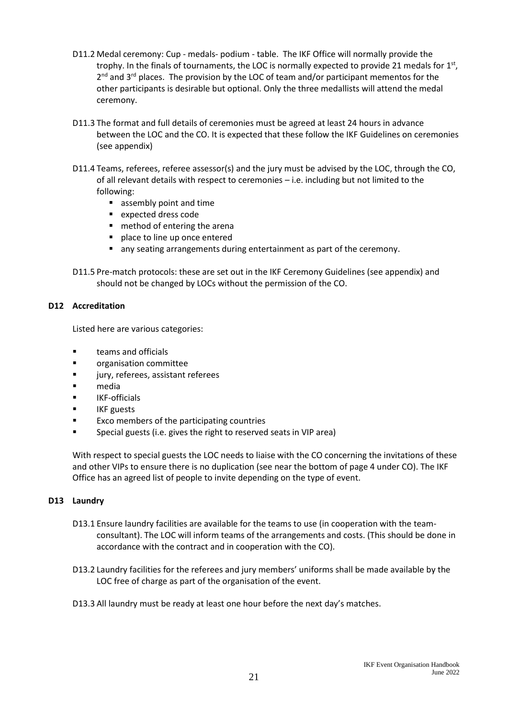- D11.2 Medal ceremony: Cup medals- podium table. The IKF Office will normally provide the trophy. In the finals of tournaments, the LOC is normally expected to provide 21 medals for  $1<sup>st</sup>$ , 2<sup>nd</sup> and 3<sup>rd</sup> places. The provision by the LOC of team and/or participant mementos for the other participants is desirable but optional. Only the three medallists will attend the medal ceremony.
- D11.3 The format and full details of ceremonies must be agreed at least 24 hours in advance between the LOC and the CO. It is expected that these follow the IKF Guidelines on ceremonies (see appendix)
- D11.4 Teams, referees, referee assessor(s) and the jury must be advised by the LOC, through the CO, of all relevant details with respect to ceremonies – i.e. including but not limited to the following:
	- assembly point and time
	- expected dress code
	- method of entering the arena
	- **·** place to line up once entered
	- any seating arrangements during entertainment as part of the ceremony.
- D11.5 Pre-match protocols: these are set out in the IKF Ceremony Guidelines (see appendix) and should not be changed by LOCs without the permission of the CO.

# **D12 Accreditation**

Listed here are various categories:

- teams and officials
- organisation committee
- jury, referees, assistant referees
- media
- IKF-officials
- **IKF** guests
- Exco members of the participating countries
- Special guests (i.e. gives the right to reserved seats in VIP area)

With respect to special guests the LOC needs to liaise with the CO concerning the invitations of these and other VIPs to ensure there is no duplication (see near the bottom of page 4 under CO). The IKF Office has an agreed list of people to invite depending on the type of event.

# **D13 Laundry**

- D13.1 Ensure laundry facilities are available for the teams to use (in cooperation with the teamconsultant). The LOC will inform teams of the arrangements and costs. (This should be done in accordance with the contract and in cooperation with the CO).
- D13.2 Laundry facilities for the referees and jury members' uniforms shall be made available by the LOC free of charge as part of the organisation of the event.

D13.3 All laundry must be ready at least one hour before the next day's matches.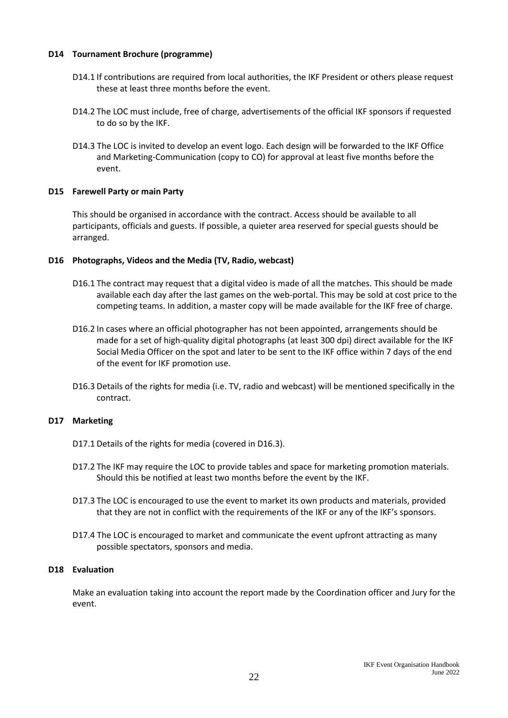#### **D14 Tournament Brochure (programme)**

- D14.1 If contributions are required from local authorities, the IKF President or others please request these at least three months before the event.
- D14.2 The LOC must include, free of charge, advertisements of the official IKF sponsors if requested to do so by the IKF.
- D14.3 The LOC is invited to develop an event logo. Each design will be forwarded to the IKF Office and Marketing-Communication (copy to CO) for approval at least five months before the event.

#### **D15 Farewell Party or main Party**

This should be organised in accordance with the contract. Access should be available to all participants, officials and guests. If possible, a quieter area reserved for special guests should be arranged.

#### **D16 Photographs, Videos and the Media (TV, Radio, webcast)**

- D16.1 The contract may request that a digital video is made of all the matches. This should be made available each day after the last games on the web-portal. This may be sold at cost price to the competing teams. In addition, a master copy will be made available for the IKF free of charge.
- D16.2 In cases where an official photographer has not been appointed, arrangements should be made for a set of high-quality digital photographs (at least 300 dpi) direct available for the IKF Social Media Officer on the spot and later to be sent to the IKF office within 7 days of the end of the event for IKF promotion use.
- D16.3 Details of the rights for media (i.e. TV, radio and webcast) will be mentioned specifically in the contract.

# **D17 Marketing**

- D17.1 Details of the rights for media (covered in D16.3).
- D17.2 The IKF may require the LOC to provide tables and space for marketing promotion materials. Should this be notified at least two months before the event by the IKF.
- D17.3 The LOC is encouraged to use the event to market its own products and materials, provided that they are not in conflict with the requirements of the IKF or any of the IKF's sponsors.
- D17.4 The LOC is encouraged to market and communicate the event upfront attracting as many possible spectators, sponsors and media.

#### **D18 Evaluation**

Make an evaluation taking into account the report made by the Coordination officer and Jury for the event.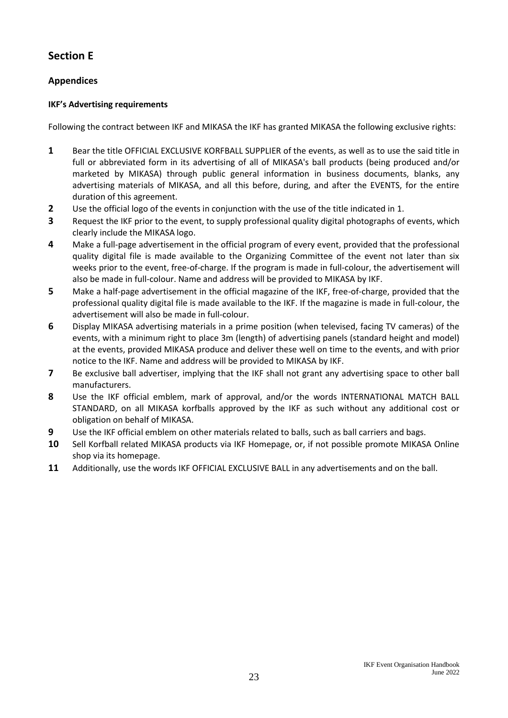# **Section E**

# **Appendices**

# **IKF's Advertising requirements**

Following the contract between IKF and MIKASA the IKF has granted MIKASA the following exclusive rights:

- **1** Bear the title OFFICIAL EXCLUSIVE KORFBALL SUPPLIER of the events, as well as to use the said title in full or abbreviated form in its advertising of all of MIKASA's ball products (being produced and/or marketed by MIKASA) through public general information in business documents, blanks, any advertising materials of MIKASA, and all this before, during, and after the EVENTS, for the entire duration of this agreement.
- **2** Use the official logo of the events in conjunction with the use of the title indicated in 1.
- **3** Request the IKF prior to the event, to supply professional quality digital photographs of events, which clearly include the MIKASA logo.
- **4** Make a full-page advertisement in the official program of every event, provided that the professional quality digital file is made available to the Organizing Committee of the event not later than six weeks prior to the event, free-of-charge. If the program is made in full-colour, the advertisement will also be made in full-colour. Name and address will be provided to MIKASA by IKF.
- **5** Make a half-page advertisement in the official magazine of the IKF, free-of-charge, provided that the professional quality digital file is made available to the IKF. If the magazine is made in full-colour, the advertisement will also be made in full-colour.
- **6** Display MIKASA advertising materials in a prime position (when televised, facing TV cameras) of the events, with a minimum right to place 3m (length) of advertising panels (standard height and model) at the events, provided MIKASA produce and deliver these well on time to the events, and with prior notice to the IKF. Name and address will be provided to MIKASA by IKF.
- **7** Be exclusive ball advertiser, implying that the IKF shall not grant any advertising space to other ball manufacturers.
- **8** Use the IKF official emblem, mark of approval, and/or the words INTERNATIONAL MATCH BALL STANDARD, on all MIKASA korfballs approved by the IKF as such without any additional cost or obligation on behalf of MIKASA.
- **9** Use the IKF official emblem on other materials related to balls, such as ball carriers and bags.
- **10** Sell Korfball related MIKASA products via IKF Homepage, or, if not possible promote MIKASA Online shop via its homepage.
- **11** Additionally, use the words IKF OFFICIAL EXCLUSIVE BALL in any advertisements and on the ball.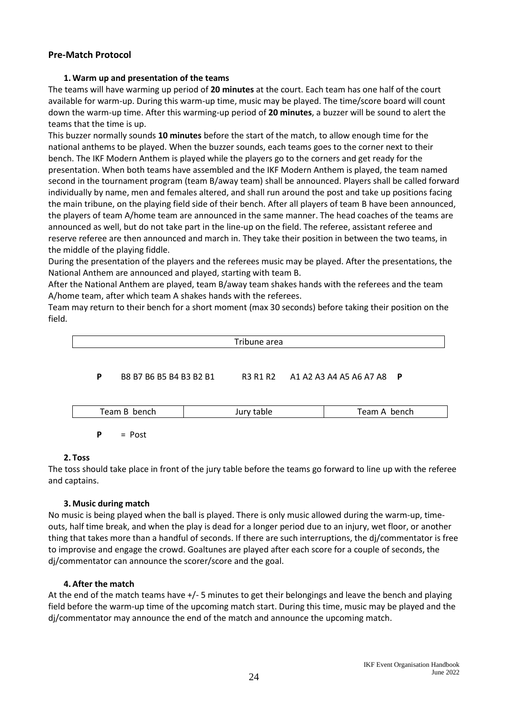# **Pre-Match Protocol**

# **1. Warm up and presentation of the teams**

The teams will have warming up period of **20 minutes** at the court. Each team has one half of the court available for warm-up. During this warm-up time, music may be played. The time/score board will count down the warm-up time. After this warming-up period of **20 minutes**, a buzzer will be sound to alert the teams that the time is up.

This buzzer normally sounds **10 minutes** before the start of the match, to allow enough time for the national anthems to be played. When the buzzer sounds, each teams goes to the corner next to their bench. The IKF Modern Anthem is played while the players go to the corners and get ready for the presentation. When both teams have assembled and the IKF Modern Anthem is played, the team named second in the tournament program (team B/away team) shall be announced. Players shall be called forward individually by name, men and females altered, and shall run around the post and take up positions facing the main tribune, on the playing field side of their bench. After all players of team B have been announced, the players of team A/home team are announced in the same manner. The head coaches of the teams are announced as well, but do not take part in the line-up on the field. The referee, assistant referee and reserve referee are then announced and march in. They take their position in between the two teams, in the middle of the playing fiddle.

During the presentation of the players and the referees music may be played. After the presentations, the National Anthem are announced and played, starting with team B.

After the National Anthem are played, team B/away team shakes hands with the referees and the team A/home team, after which team A shakes hands with the referees.

Team may return to their bench for a short moment (max 30 seconds) before taking their position on the field.



#### **2. Toss**

The toss should take place in front of the jury table before the teams go forward to line up with the referee and captains.

#### **3. Music during match**

No music is being played when the ball is played. There is only music allowed during the warm-up, timeouts, half time break, and when the play is dead for a longer period due to an injury, wet floor, or another thing that takes more than a handful of seconds. If there are such interruptions, the dj/commentator is free to improvise and engage the crowd. Goaltunes are played after each score for a couple of seconds, the dj/commentator can announce the scorer/score and the goal.

# **4. After the match**

At the end of the match teams have +/- 5 minutes to get their belongings and leave the bench and playing field before the warm-up time of the upcoming match start. During this time, music may be played and the dj/commentator may announce the end of the match and announce the upcoming match.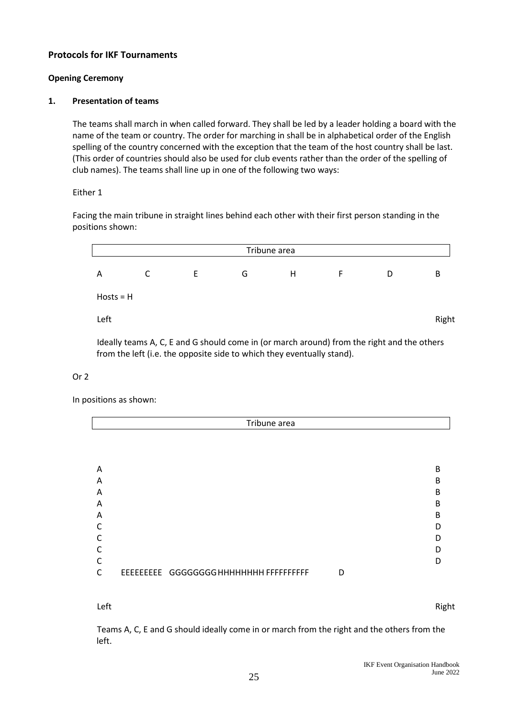# **Protocols for IKF Tournaments**

#### **Opening Ceremony**

#### **1. Presentation of teams**

The teams shall march in when called forward. They shall be led by a leader holding a board with the name of the team or country. The order for marching in shall be in alphabetical order of the English spelling of the country concerned with the exception that the team of the host country shall be last. (This order of countries should also be used for club events rather than the order of the spelling of club names). The teams shall line up in one of the following two ways:

#### Either 1

Facing the main tribune in straight lines behind each other with their first person standing in the positions shown:

| Tribune area |   |   |   |   |   |   |       |
|--------------|---|---|---|---|---|---|-------|
| A            | C | E | G | H | F | D | B     |
| $Hosts = H$  |   |   |   |   |   |   |       |
| Left         |   |   |   |   |   |   | Right |

Ideally teams A, C, E and G should come in (or march around) from the right and the others from the left (i.e. the opposite side to which they eventually stand).

#### Or 2

In positions as shown:

|   | Tribune area                           |   |   |
|---|----------------------------------------|---|---|
|   |                                        |   |   |
|   |                                        |   |   |
|   |                                        |   |   |
| A |                                        |   | B |
| A |                                        |   | B |
| A |                                        |   | B |
| A |                                        |   | B |
| A |                                        |   | B |
| C |                                        |   | D |
| C |                                        |   |   |
| C |                                        |   |   |
| C |                                        |   |   |
|   |                                        |   |   |
| C | EEEEEEEEE GGGGGGGGHHHHHHHH FFFFFFFFFFF | D |   |
|   |                                        |   |   |

Left **Right** Right Research **Right** Right Research **Right** Right Right Right Right

Teams A, C, E and G should ideally come in or march from the right and the others from the left.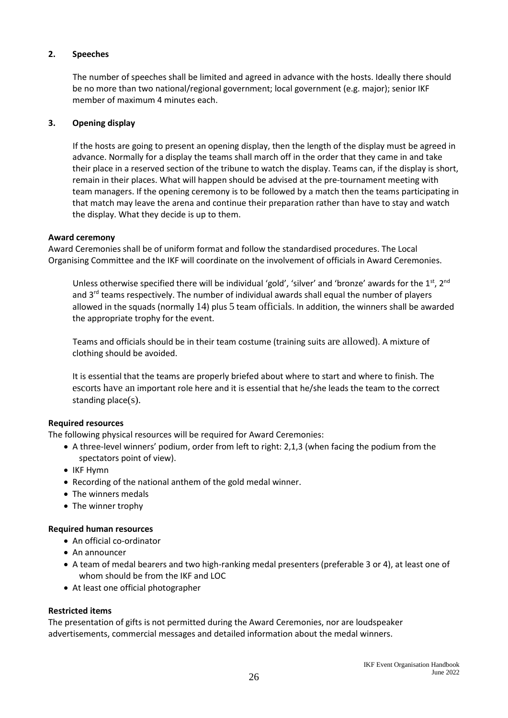# **2. Speeches**

The number of speeches shall be limited and agreed in advance with the hosts. Ideally there should be no more than two national/regional government; local government (e.g. major); senior IKF member of maximum 4 minutes each.

# **3. Opening display**

If the hosts are going to present an opening display, then the length of the display must be agreed in advance. Normally for a display the teams shall march off in the order that they came in and take their place in a reserved section of the tribune to watch the display. Teams can, if the display is short, remain in their places. What will happen should be advised at the pre-tournament meeting with team managers. If the opening ceremony is to be followed by a match then the teams participating in that match may leave the arena and continue their preparation rather than have to stay and watch the display. What they decide is up to them.

#### **Award ceremony**

Award Ceremonies shall be of uniform format and follow the standardised procedures. The Local Organising Committee and the IKF will coordinate on the involvement of officials in Award Ceremonies.

Unless otherwise specified there will be individual 'gold', 'silver' and 'bronze' awards for the 1st,  $2^{nd}$ and  $3<sup>rd</sup>$  teams respectively. The number of individual awards shall equal the number of players allowed in the squads (normally 14) plus 5 team officials. In addition, the winners shall be awarded the appropriate trophy for the event.

Teams and officials should be in their team costume (training suits are allowed). A mixture of clothing should be avoided.

It is essential that the teams are properly briefed about where to start and where to finish. The escorts have an important role here and it is essential that he/she leads the team to the correct standing place(s).

# **Required resources**

The following physical resources will be required for Award Ceremonies:

- A three-level winners' podium, order from left to right: 2,1,3 (when facing the podium from the spectators point of view).
- IKF Hymn
- Recording of the national anthem of the gold medal winner.
- The winners medals
- The winner trophy

# **Required human resources**

- An official co-ordinator
- An announcer
- A team of medal bearers and two high-ranking medal presenters (preferable 3 or 4), at least one of whom should be from the IKF and LOC
- At least one official photographer

# **Restricted items**

The presentation of gifts is not permitted during the Award Ceremonies, nor are loudspeaker advertisements, commercial messages and detailed information about the medal winners.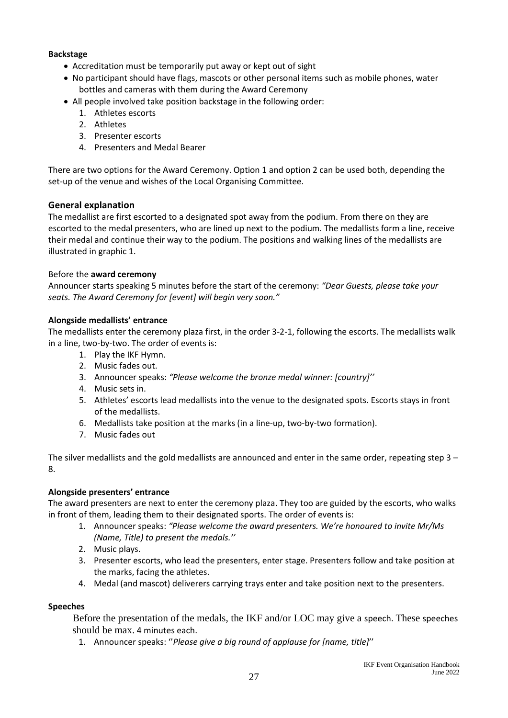#### **Backstage**

- Accreditation must be temporarily put away or kept out of sight
- No participant should have flags, mascots or other personal items such as mobile phones, water bottles and cameras with them during the Award Ceremony
- All people involved take position backstage in the following order:
	- 1. Athletes escorts
	- 2. Athletes
	- 3. Presenter escorts
	- 4. Presenters and Medal Bearer

There are two options for the Award Ceremony. Option 1 and option 2 can be used both, depending the set-up of the venue and wishes of the Local Organising Committee.

# **General explanation**

The medallist are first escorted to a designated spot away from the podium. From there on they are escorted to the medal presenters, who are lined up next to the podium. The medallists form a line, receive their medal and continue their way to the podium. The positions and walking lines of the medallists are illustrated in graphic 1.

#### Before the **award ceremony**

Announcer starts speaking 5 minutes before the start of the ceremony: *"Dear Guests, please take your seats. The Award Ceremony for [event] will begin very soon."*

#### **Alongside medallists' entrance**

The medallists enter the ceremony plaza first, in the order 3-2-1, following the escorts. The medallists walk in a line, two-by-two. The order of events is:

- 1. Play the IKF Hymn.
- 2. Music fades out.
- 3. Announcer speaks: *"Please welcome the bronze medal winner: [country]''*
- 4. Music sets in.
- 5. Athletes' escorts lead medallists into the venue to the designated spots. Escorts stays in front of the medallists.
- 6. Medallists take position at the marks (in a line-up, two-by-two formation).
- 7. Music fades out

The silver medallists and the gold medallists are announced and enter in the same order, repeating step 3 – 8.

# **Alongside presenters' entrance**

The award presenters are next to enter the ceremony plaza. They too are guided by the escorts, who walks in front of them, leading them to their designated sports. The order of events is:

- 1. Announcer speaks: *"Please welcome the award presenters. We're honoured to invite Mr/Ms (Name, Title) to present the medals.''*
- 2. Music plays.
- 3. Presenter escorts, who lead the presenters, enter stage. Presenters follow and take position at the marks, facing the athletes.
- 4. Medal (and mascot) deliverers carrying trays enter and take position next to the presenters.

#### **Speeches**

Before the presentation of the medals, the IKF and/or LOC may give a speech. These speeches should be max. 4 minutes each.

1. Announcer speaks: ''*Please give a big round of applause for [name, title]*''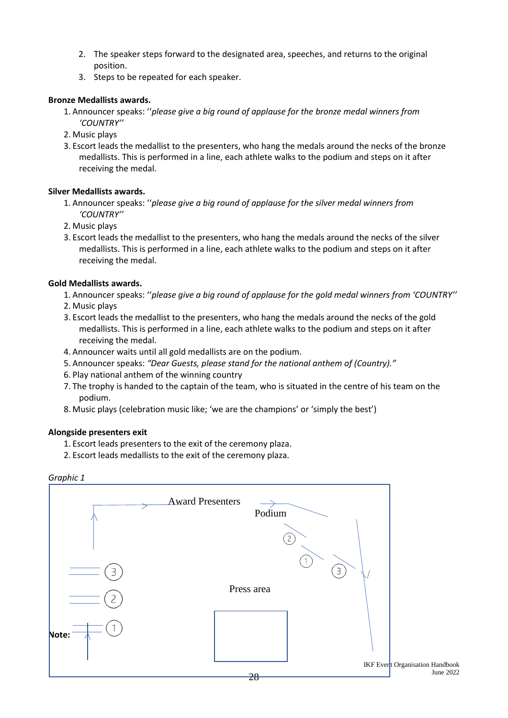- 2. The speaker steps forward to the designated area, speeches, and returns to the original position.
- 3. Steps to be repeated for each speaker.

#### **Bronze Medallists awards.**

- 1. Announcer speaks: ''*please give a big round of applause for the bronze medal winners from 'COUNTRY''*
- 2. Music plays
- 3. Escort leads the medallist to the presenters, who hang the medals around the necks of the bronze medallists. This is performed in a line, each athlete walks to the podium and steps on it after receiving the medal.

#### **Silver Medallists awards.**

- 1. Announcer speaks: ''*please give a big round of applause for the silver medal winners from 'COUNTRY''*
- 2. Music plays
- 3. Escort leads the medallist to the presenters, who hang the medals around the necks of the silver medallists. This is performed in a line, each athlete walks to the podium and steps on it after receiving the medal.

#### **Gold Medallists awards.**

- 1. Announcer speaks: ''*please give a big round of applause for the gold medal winners from 'COUNTRY''*
- 2. Music plays
- 3. Escort leads the medallist to the presenters, who hang the medals around the necks of the gold medallists. This is performed in a line, each athlete walks to the podium and steps on it after receiving the medal.
- 4. Announcer waits until all gold medallists are on the podium.
- 5. Announcer speaks: *"Dear Guests, please stand for the national anthem of (Country)."*
- 6. Play national anthem of the winning country
- 7. The trophy is handed to the captain of the team, who is situated in the centre of his team on the podium.
- 8. Music plays (celebration music like; 'we are the champions' or 'simply the best')

#### **Alongside presenters exit**

- 1. Escort leads presenters to the exit of the ceremony plaza.
- 2. Escort leads medallists to the exit of the ceremony plaza.

#### *Graphic 1*

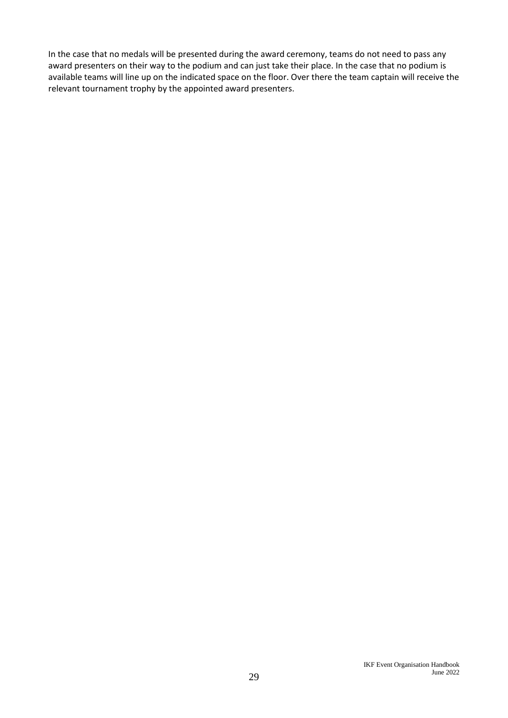In the case that no medals will be presented during the award ceremony, teams do not need to pass any award presenters on their way to the podium and can just take their place. In the case that no podium is available teams will line up on the indicated space on the floor. Over there the team captain will receive the relevant tournament trophy by the appointed award presenters.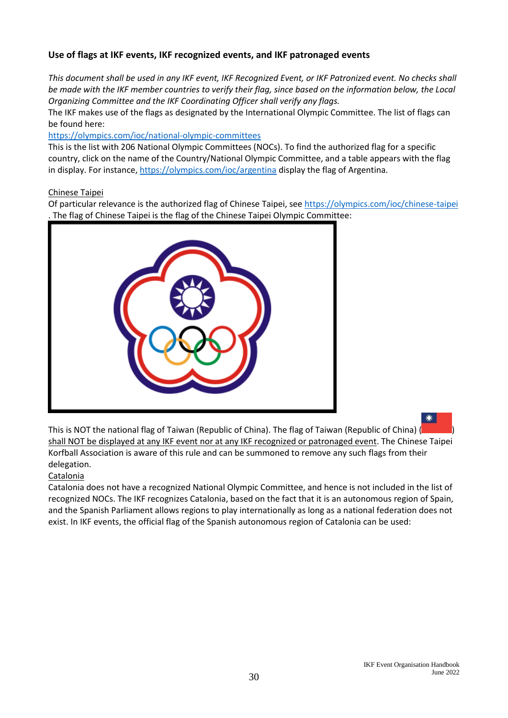# **Use of flags at IKF events, IKF recognized events, and IKF patronaged events**

*This document shall be used in any IKF event, IKF Recognized Event, or IKF Patronized event. No checks shall be made with the IKF member countries to verify their flag, since based on the information below, the Local Organizing Committee and the IKF Coordinating Officer shall verify any flags.*

The IKF makes use of the flags as designated by the International Olympic Committee. The list of flags can be found here:

<https://olympics.com/ioc/national-olympic-committees>

This is the list with 206 National Olympic Committees (NOCs). To find the authorized flag for a specific country, click on the name of the Country/National Olympic Committee, and a table appears with the flag in display. For instance,<https://olympics.com/ioc/argentina> display the flag of Argentina.

#### Chinese Taipei

Of particular relevance is the authorized flag of Chinese Taipei, see<https://olympics.com/ioc/chinese-taipei> . The flag of Chinese Taipei is the flag of the Chinese Taipei Olympic Committee:



This is NOT the national flag of Taiwan (Republic of China). The flag of Taiwan (Republic of China) ( ) shall NOT be displayed at any IKF event nor at any IKF recognized or patronaged event. The Chinese Taipei Korfball Association is aware of this rule and can be summoned to remove any such flags from their delegation.

# **Catalonia**

Catalonia does not have a recognized National Olympic Committee, and hence is not included in the list of recognized NOCs. The IKF recognizes Catalonia, based on the fact that it is an autonomous region of Spain, and the Spanish Parliament allows regions to play internationally as long as a national federation does not exist. In IKF events, the official flag of the Spanish autonomous region of Catalonia can be used: